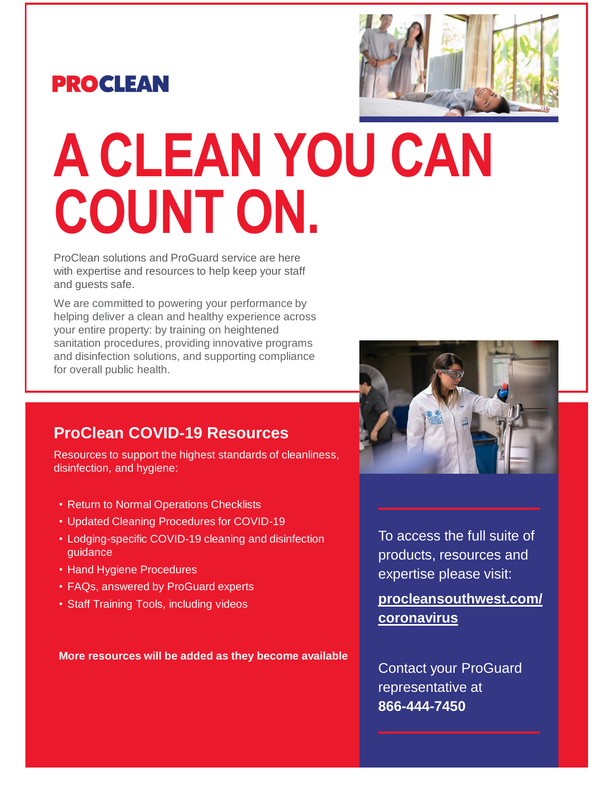



# **A CLEAN YOU CAN COUNT ON.**

ProClean solutions and ProGuard service are here with expertise and resources to help keep your staff and guests safe.

We are committed to powering your performance by helping deliver a clean and healthy experience across your entire property: by training on heightened sanitation procedures, providing innovative programs and disinfection solutions, and supporting compliance for overall public health.

#### **ProClean COVID-19 Resources**

Resources to support the highest standards of cleanliness, disinfection, and hygiene:

- Return to Normal Operations Checklists
- Updated Cleaning Procedures for COVID-19
- Lodging-specific COVID-19 cleaning and disinfection guidance
- Hand Hygiene Procedures
- FAQs, answered by ProGuard experts
- Staff Training Tools, including videos

**More resources will be added as they become available**



To access the full suite of products, resources and expertise please visit:

**[procleansouthwest.com/](https://procleansouthwest.com/coronavirus?utm_source=Summary&utm_medium=PDF&utm_term=COVID-19&utm_content=Hospitality&utm_campaign=Institutional) coronavirus**

Contact your ProGuard representative at **866-444-7450**